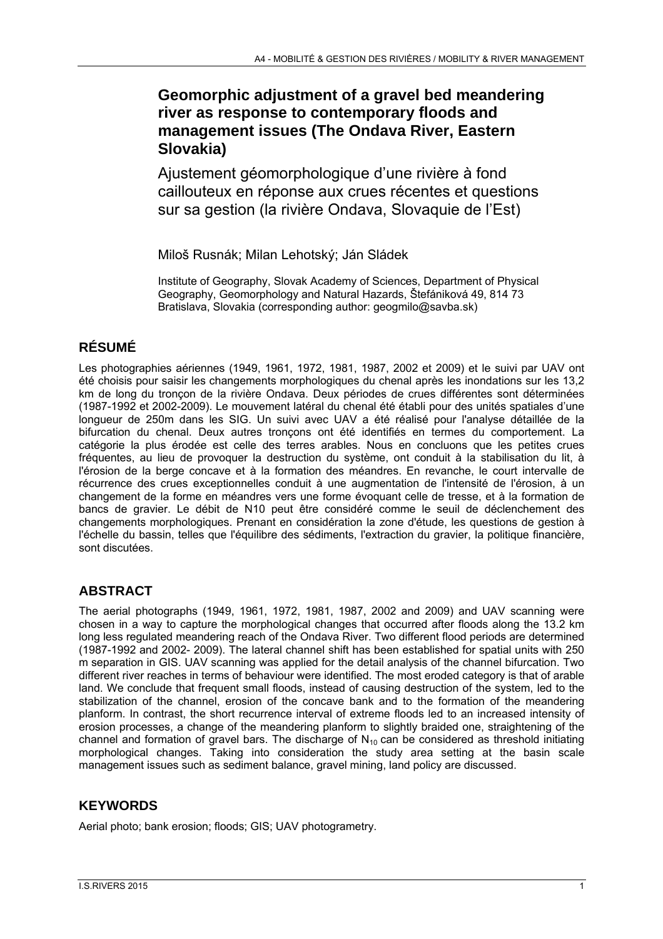# **Geomorphic adjustment of a gravel bed meandering river as response to contemporary floods and management issues (The Ondava River, Eastern Slovakia)**

Ajustement géomorphologique d'une rivière à fond caillouteux en réponse aux crues récentes et questions sur sa gestion (la rivière Ondava, Slovaquie de l'Est)

Miloš Rusnák; Milan Lehotský; Ján Sládek

Institute of Geography, Slovak Academy of Sciences, Department of Physical Geography, Geomorphology and Natural Hazards, Štefániková 49, 814 73 Bratislava, Slovakia (corresponding author: geogmilo@savba.sk)

# **RÉSUMÉ**

Les photographies aériennes (1949, 1961, 1972, 1981, 1987, 2002 et 2009) et le suivi par UAV ont été choisis pour saisir les changements morphologiques du chenal après les inondations sur les 13,2 km de long du tronçon de la rivière Ondava. Deux périodes de crues différentes sont déterminées (1987-1992 et 2002-2009). Le mouvement latéral du chenal été établi pour des unités spatiales d'une longueur de 250m dans les SIG. Un suivi avec UAV a été réalisé pour l'analyse détaillée de la bifurcation du chenal. Deux autres tronçons ont été identifiés en termes du comportement. La catégorie la plus érodée est celle des terres arables. Nous en concluons que les petites crues fréquentes, au lieu de provoquer la destruction du système, ont conduit à la stabilisation du lit, à l'érosion de la berge concave et à la formation des méandres. En revanche, le court intervalle de récurrence des crues exceptionnelles conduit à une augmentation de l'intensité de l'érosion, à un changement de la forme en méandres vers une forme évoquant celle de tresse, et à la formation de bancs de gravier. Le débit de N10 peut être considéré comme le seuil de déclenchement des changements morphologiques. Prenant en considération la zone d'étude, les questions de gestion à l'échelle du bassin, telles que l'équilibre des sédiments, l'extraction du gravier, la politique financière, sont discutées.

# **ABSTRACT**

The aerial photographs (1949, 1961, 1972, 1981, 1987, 2002 and 2009) and UAV scanning were chosen in a way to capture the morphological changes that occurred after floods along the 13.2 km long less regulated meandering reach of the Ondava River. Two different flood periods are determined (1987-1992 and 2002- 2009). The lateral channel shift has been established for spatial units with 250 m separation in GIS. UAV scanning was applied for the detail analysis of the channel bifurcation. Two different river reaches in terms of behaviour were identified. The most eroded category is that of arable land. We conclude that frequent small floods, instead of causing destruction of the system, led to the stabilization of the channel, erosion of the concave bank and to the formation of the meandering planform. In contrast, the short recurrence interval of extreme floods led to an increased intensity of erosion processes, a change of the meandering planform to slightly braided one, straightening of the channel and formation of gravel bars. The discharge of  $N_{10}$  can be considered as threshold initiating morphological changes. Taking into consideration the study area setting at the basin scale management issues such as sediment balance, gravel mining, land policy are discussed.

# **KEYWORDS**

Aerial photo; bank erosion; floods; GIS; UAV photogrametry.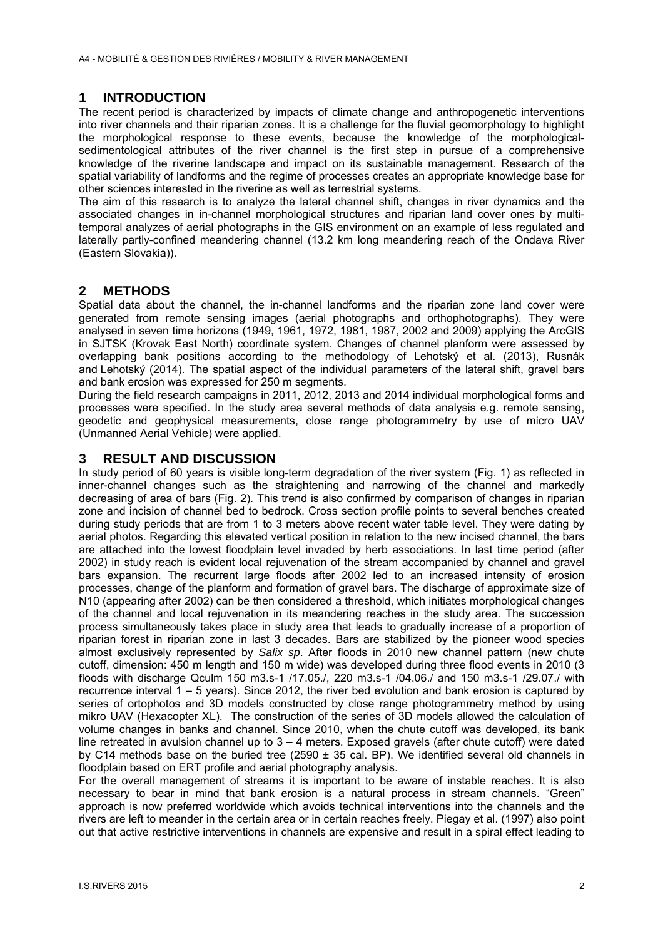## **1 INTRODUCTION**

The recent period is characterized by impacts of climate change and anthropogenetic interventions into river channels and their riparian zones. It is a challenge for the fluvial geomorphology to highlight the morphological response to these events, because the knowledge of the morphologicalsedimentological attributes of the river channel is the first step in pursue of a comprehensive knowledge of the riverine landscape and impact on its sustainable management. Research of the spatial variability of landforms and the regime of processes creates an appropriate knowledge base for other sciences interested in the riverine as well as terrestrial systems.

The aim of this research is to analyze the lateral channel shift, changes in river dynamics and the associated changes in in-channel morphological structures and riparian land cover ones by multitemporal analyzes of aerial photographs in the GIS environment on an example of less regulated and laterally partly-confined meandering channel (13.2 km long meandering reach of the Ondava River (Eastern Slovakia)).

### **2 METHODS**

Spatial data about the channel, the in-channel landforms and the riparian zone land cover were generated from remote sensing images (aerial photographs and orthophotographs). They were analysed in seven time horizons (1949, 1961, 1972, 1981, 1987, 2002 and 2009) applying the ArcGIS in SJTSK (Krovak East North) coordinate system. Changes of channel planform were assessed by overlapping bank positions according to the methodology of Lehotský et al. (2013), Rusnák and Lehotský (2014). The spatial aspect of the individual parameters of the lateral shift, gravel bars and bank erosion was expressed for 250 m segments.

During the field research campaigns in 2011, 2012, 2013 and 2014 individual morphological forms and processes were specified. In the study area several methods of data analysis e.g. remote sensing, geodetic and geophysical measurements, close range photogrammetry by use of micro UAV (Unmanned Aerial Vehicle) were applied.

#### **3 RESULT AND DISCUSSION**

In study period of 60 years is visible long-term degradation of the river system (Fig. 1) as reflected in inner-channel changes such as the straightening and narrowing of the channel and markedly decreasing of area of bars (Fig. 2). This trend is also confirmed by comparison of changes in riparian zone and incision of channel bed to bedrock. Cross section profile points to several benches created during study periods that are from 1 to 3 meters above recent water table level. They were dating by aerial photos. Regarding this elevated vertical position in relation to the new incised channel, the bars are attached into the lowest floodplain level invaded by herb associations. In last time period (after 2002) in study reach is evident local rejuvenation of the stream accompanied by channel and gravel bars expansion. The recurrent large floods after 2002 led to an increased intensity of erosion processes, change of the planform and formation of gravel bars. The discharge of approximate size of N10 (appearing after 2002) can be then considered a threshold, which initiates morphological changes of the channel and local rejuvenation in its meandering reaches in the study area. The succession process simultaneously takes place in study area that leads to gradually increase of a proportion of riparian forest in riparian zone in last 3 decades. Bars are stabilized by the pioneer wood species almost exclusively represented by *Salix sp*. After floods in 2010 new channel pattern (new chute cutoff, dimension: 450 m length and 150 m wide) was developed during three flood events in 2010 (3 floods with discharge Qculm 150 m3.s-1 /17.05./, 220 m3.s-1 /04.06./ and 150 m3.s-1 /29.07./ with recurrence interval  $1 - 5$  years). Since 2012, the river bed evolution and bank erosion is captured by series of ortophotos and 3D models constructed by close range photogrammetry method by using mikro UAV (Hexacopter XL). The construction of the series of 3D models allowed the calculation of volume changes in banks and channel. Since 2010, when the chute cutoff was developed, its bank line retreated in avulsion channel up to 3 – 4 meters. Exposed gravels (after chute cutoff) were dated by C14 methods base on the buried tree (2590  $\pm$  35 cal. BP). We identified several old channels in floodplain based on ERT profile and aerial photography analysis.

For the overall management of streams it is important to be aware of instable reaches. It is also necessary to bear in mind that bank erosion is a natural process in stream channels. "Green" approach is now preferred worldwide which avoids technical interventions into the channels and the rivers are left to meander in the certain area or in certain reaches freely. Piegay et al. (1997) also point out that active restrictive interventions in channels are expensive and result in a spiral effect leading to